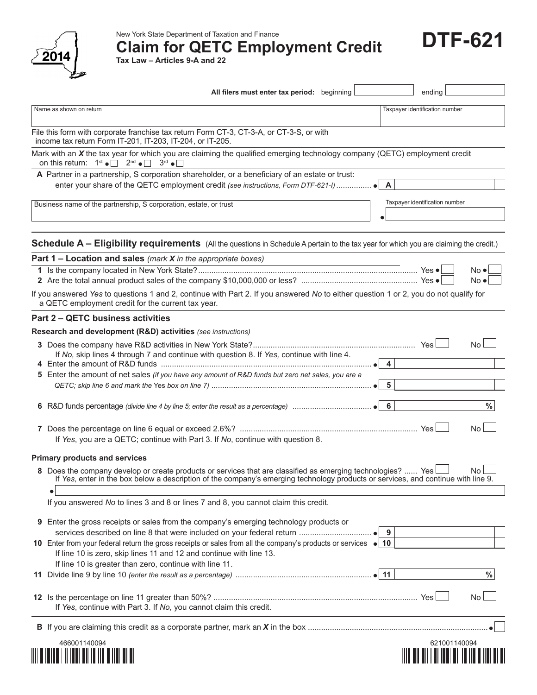

New York State Department of Taxation and Finance

**Claim for QETC Employment Credit**

**DTF-621**

**Tax Law – Articles 9-A and 22**

|                                                                                                                                                                                                                                                   | All filers must enter tax period: beginning |                                                                            | ending                         |           |
|---------------------------------------------------------------------------------------------------------------------------------------------------------------------------------------------------------------------------------------------------|---------------------------------------------|----------------------------------------------------------------------------|--------------------------------|-----------|
| Name as shown on return                                                                                                                                                                                                                           |                                             |                                                                            | Taxpayer identification number |           |
| File this form with corporate franchise tax return Form CT-3, CT-3-A, or CT-3-S, or with<br>income tax return Form IT-201, IT-203, IT-204, or IT-205.                                                                                             |                                             |                                                                            |                                |           |
| Mark with an $X$ the tax year for which you are claiming the qualified emerging technology company (QETC) employment credit<br>on this return: $1^{st} \cdot \Box$ $2^{nd} \cdot \Box$ $3^{rd} \cdot \Box$                                        |                                             |                                                                            |                                |           |
| A Partner in a partnership, S corporation shareholder, or a beneficiary of an estate or trust:<br>enter your share of the QETC employment credit (see instructions, Form DTF-621-I)  ●                                                            |                                             |                                                                            | $\mathsf{A}$                   |           |
| Business name of the partnership, S corporation, estate, or trust                                                                                                                                                                                 |                                             |                                                                            | Taxpayer identification number |           |
| Schedule A - Eligibility requirements (All the questions in Schedule A pertain to the tax year for which you are claiming the credit.)                                                                                                            |                                             |                                                                            |                                |           |
| Part $1$ – Location and sales (mark X in the appropriate boxes)                                                                                                                                                                                   |                                             | the control of the control of the control of the control of the control of |                                |           |
|                                                                                                                                                                                                                                                   |                                             |                                                                            |                                | No ●l     |
|                                                                                                                                                                                                                                                   |                                             |                                                                            |                                | No ●l     |
| If you answered Yes to questions 1 and 2, continue with Part 2. If you answered No to either question 1 or 2, you do not qualify for<br>a QETC employment credit for the current tax year.                                                        |                                             |                                                                            |                                |           |
| Part 2 - QETC business activities                                                                                                                                                                                                                 |                                             |                                                                            |                                |           |
| Research and development (R&D) activities (see instructions)                                                                                                                                                                                      |                                             |                                                                            |                                |           |
| If No, skip lines 4 through 7 and continue with question 8. If Yes, continue with line 4.                                                                                                                                                         |                                             |                                                                            |                                | <b>No</b> |
| 5 Enter the amount of net sales (if you have any amount of R&D funds but zero net sales, you are a                                                                                                                                                |                                             |                                                                            | 5                              |           |
|                                                                                                                                                                                                                                                   |                                             |                                                                            |                                | %         |
| If Yes, you are a QETC; continue with Part 3. If No, continue with question 8.                                                                                                                                                                    |                                             |                                                                            |                                | No.       |
| <b>Primary products and services</b>                                                                                                                                                                                                              |                                             |                                                                            |                                |           |
| 8 Does the company develop or create products or services that are classified as emerging technologies?  Yes<br>If Yes, enter in the box below a description of the company's emerging technology products or services, and continue with line 9. |                                             |                                                                            |                                | No L      |
| If you answered No to lines 3 and 8 or lines 7 and 8, you cannot claim this credit.                                                                                                                                                               |                                             |                                                                            |                                |           |
| 9 Enter the gross receipts or sales from the company's emerging technology products or                                                                                                                                                            |                                             | - 9                                                                        |                                |           |
| 10 Enter from your federal return the gross receipts or sales from all the company's products or services • 10<br>If line 10 is zero, skip lines 11 and 12 and continue with line 13.                                                             |                                             |                                                                            |                                |           |
| If line 10 is greater than zero, continue with line 11.                                                                                                                                                                                           |                                             |                                                                            |                                | $\%$      |
| If Yes, continue with Part 3. If No, you cannot claim this credit.                                                                                                                                                                                |                                             |                                                                            |                                | No.       |
|                                                                                                                                                                                                                                                   |                                             |                                                                            |                                |           |
| 466001140094                                                                                                                                                                                                                                      |                                             |                                                                            | 621001140094                   |           |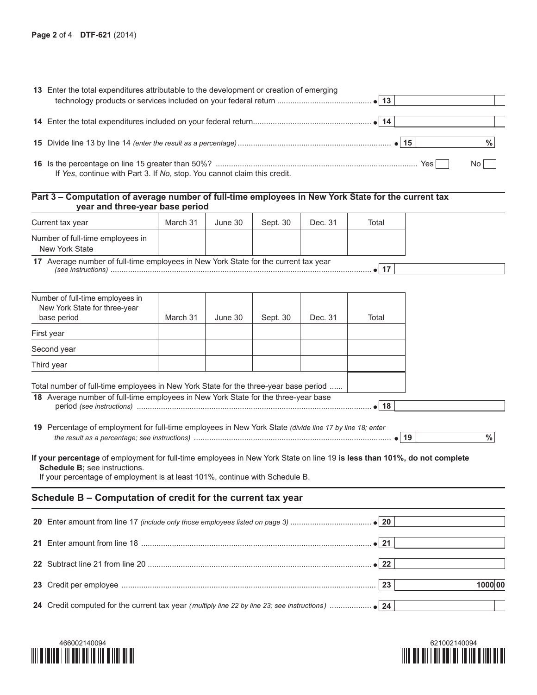| 13 Enter the total expenditures attributable to the development or creation of emerging |       |               |  |
|-----------------------------------------------------------------------------------------|-------|---------------|--|
|                                                                                         |       |               |  |
|                                                                                         |       |               |  |
|                                                                                         |       |               |  |
|                                                                                         |       |               |  |
|                                                                                         |       | $\frac{0}{0}$ |  |
|                                                                                         |       |               |  |
|                                                                                         | Yes l | No L          |  |
| If Yes, continue with Part 3. If No, stop. You cannot claim this credit.                |       |               |  |

## **Part 3 – Computation of average number of full-time employees in New York State for the current tax year and three-year base period**

| Current tax year                                                                                                                                                                                                                                                                                                                                     | March 31 | June 30 | Sept. 30 | Dec. 31 | Total        |                      |
|------------------------------------------------------------------------------------------------------------------------------------------------------------------------------------------------------------------------------------------------------------------------------------------------------------------------------------------------------|----------|---------|----------|---------|--------------|----------------------|
| Number of full-time employees in<br>New York State                                                                                                                                                                                                                                                                                                   |          |         |          |         |              |                      |
| 17 Average number of full-time employees in New York State for the current tax year                                                                                                                                                                                                                                                                  |          |         |          |         | $\bullet$ 17 |                      |
| Number of full-time employees in<br>New York State for three-year<br>base period                                                                                                                                                                                                                                                                     | March 31 | June 30 | Sept. 30 | Dec. 31 | Total        |                      |
| First year                                                                                                                                                                                                                                                                                                                                           |          |         |          |         |              |                      |
| Second year                                                                                                                                                                                                                                                                                                                                          |          |         |          |         |              |                      |
| Third year                                                                                                                                                                                                                                                                                                                                           |          |         |          |         |              |                      |
| 19 Percentage of employment for full-time employees in New York State (divide line 17 by line 18; enter<br>If your percentage of employment for full-time employees in New York State on line 19 is less than 101%, do not complete<br>Schedule B; see instructions.<br>If your percentage of employment is at least 101%, continue with Schedule B. |          |         |          |         | $\bullet$ 18 | $\%$<br>$\bullet$ 19 |
| Schedule B - Computation of credit for the current tax year                                                                                                                                                                                                                                                                                          |          |         |          |         |              |                      |
|                                                                                                                                                                                                                                                                                                                                                      |          |         |          |         |              |                      |
|                                                                                                                                                                                                                                                                                                                                                      |          |         |          |         | $\bullet$ 21 |                      |
|                                                                                                                                                                                                                                                                                                                                                      |          |         |          |         | $\bullet$ 22 |                      |
|                                                                                                                                                                                                                                                                                                                                                      |          |         |          |         | 23           | 1000 00              |
|                                                                                                                                                                                                                                                                                                                                                      |          |         |          |         |              |                      |



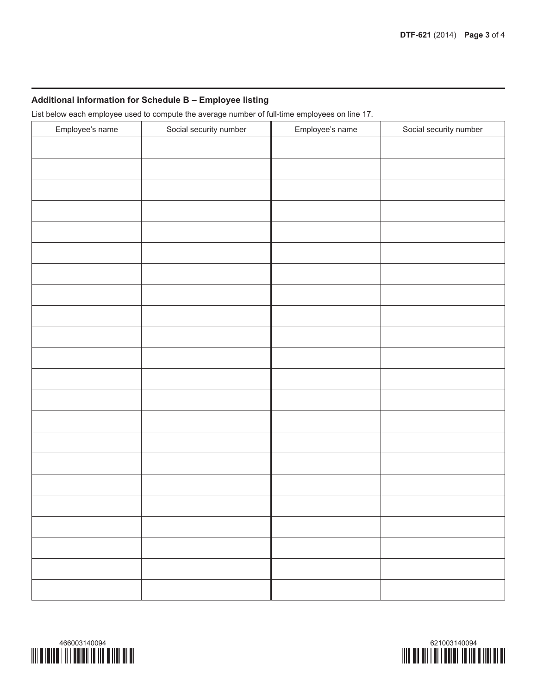## **Additional information for Schedule B – Employee listing**

List below each employee used to compute the average number of full-time employees on line 17.

| Employee's name | Social security number | Employee's name | Social security number |
|-----------------|------------------------|-----------------|------------------------|
|                 |                        |                 |                        |
|                 |                        |                 |                        |
|                 |                        |                 |                        |
|                 |                        |                 |                        |
|                 |                        |                 |                        |
|                 |                        |                 |                        |
|                 |                        |                 |                        |
|                 |                        |                 |                        |
|                 |                        |                 |                        |
|                 |                        |                 |                        |
|                 |                        |                 |                        |
|                 |                        |                 |                        |
|                 |                        |                 |                        |
|                 |                        |                 |                        |
|                 |                        |                 |                        |
|                 |                        |                 |                        |
|                 |                        |                 |                        |
|                 |                        |                 |                        |
|                 |                        |                 |                        |
|                 |                        |                 |                        |
|                 |                        |                 |                        |
|                 |                        |                 |                        |
|                 |                        |                 |                        |
|                 |                        |                 |                        |
|                 |                        |                 |                        |
|                 |                        |                 |                        |
|                 |                        |                 |                        |
|                 |                        |                 |                        |
|                 |                        |                 |                        |
|                 |                        |                 |                        |
|                 |                        |                 |                        |
|                 |                        |                 |                        |
|                 |                        |                 |                        |
|                 |                        |                 |                        |
|                 |                        |                 |                        |